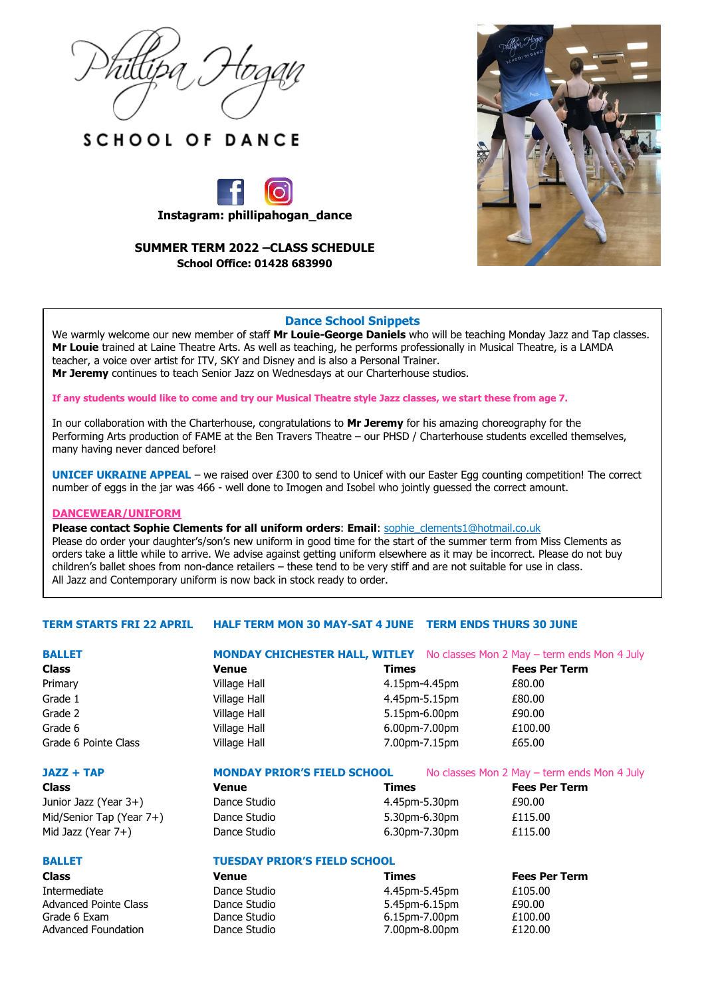





# **SUMMER TERM 2022 –CLASS SCHEDULE School Office: 01428 683990**



## **Dance School Snippets**

We warmly welcome our new member of staff **Mr Louie-George Daniels** who will be teaching Monday Jazz and Tap classes. **Mr Louie** trained at Laine Theatre Arts. As well as teaching, he performs professionally in Musical Theatre, is a LAMDA teacher, a voice over artist for ITV, SKY and Disney and is also a Personal Trainer. **Mr Jeremy** continues to teach Senior Jazz on Wednesdays at our Charterhouse studios.

**If any students would like to come and try our Musical Theatre style Jazz classes, we start these from age 7.**

In our collaboration with the Charterhouse, congratulations to **Mr Jeremy** for his amazing choreography for the Performing Arts production of FAME at the Ben Travers Theatre – our PHSD / Charterhouse students excelled themselves, many having never danced before!

**UNICEF UKRAINE APPEAL** – we raised over £300 to send to Unicef with our Easter Egg counting competition! The correct number of eggs in the jar was 466 - well done to Imogen and Isobel who jointly guessed the correct amount.

#### **DANCEWEAR/UNIFORM**

**Please contact Sophie Clements for all uniform orders**: **Email**: [sophie\\_clements1@hotmail.co.uk](mailto:sophie_clements1@hotmail.co.uk) Please do order your daughter's/son's new uniform in good time for the start of the summer term from Miss Clements as orders take a little while to arrive. We advise against getting uniform elsewhere as it may be incorrect. Please do not buy children's ballet shoes from non-dance retailers – these tend to be very stiff and are not suitable for use in class. All Jazz and Contemporary uniform is now back in stock ready to order.

## **TERM STARTS FRI 22 APRIL HALF TERM MON 30 MAY-SAT 4 JUNE TERM ENDS THURS 30 JUNE**

Grade 6 Exam Dance Studio 6.15pm-7.00pm £100.00 Advanced Foundation Dance Studio 7.00pm-8.00pm £120.00

| <b>BALLET</b>                |                                     |                         | <b>MONDAY CHICHESTER HALL, WITLEY</b> No classes Mon 2 May - term ends Mon 4 July |  |  |  |
|------------------------------|-------------------------------------|-------------------------|-----------------------------------------------------------------------------------|--|--|--|
| <b>Class</b>                 | <b>Venue</b>                        | <b>Times</b>            | <b>Fees Per Term</b>                                                              |  |  |  |
| Primary                      | Village Hall                        | 4.15pm-4.45pm           | £80.00                                                                            |  |  |  |
| Grade 1                      | Village Hall                        | 4.45pm-5.15pm           | £80.00                                                                            |  |  |  |
| Grade 2                      | Village Hall                        | 5.15pm-6.00pm           | £90.00                                                                            |  |  |  |
| Grade 6                      | Village Hall                        | $6.00$ pm-7.00pm        | £100.00                                                                           |  |  |  |
| Grade 6 Pointe Class         | Village Hall                        | 7.00pm-7.15pm           | £65.00                                                                            |  |  |  |
| JAZZ + TAP                   | <b>MONDAY PRIOR'S FIELD SCHOOL</b>  |                         | No classes Mon 2 May - term ends Mon 4 July                                       |  |  |  |
| <b>Class</b>                 | <b>Venue</b>                        | <b>Times</b>            | <b>Fees Per Term</b>                                                              |  |  |  |
| Junior Jazz (Year 3+)        | Dance Studio                        | 4.45pm-5.30pm           | £90.00                                                                            |  |  |  |
| Mid/Senior Tap (Year 7+)     | Dance Studio                        | 5.30pm-6.30pm           | £115.00                                                                           |  |  |  |
| Mid Jazz (Year 7+)           | Dance Studio                        | 6.30pm-7.30pm           | £115.00                                                                           |  |  |  |
| <b>BALLET</b>                | <b>TUESDAY PRIOR'S FIELD SCHOOL</b> |                         |                                                                                   |  |  |  |
| <b>Class</b>                 | <b>Venue</b>                        | Times                   | <b>Fees Per Term</b>                                                              |  |  |  |
| Intermediate                 | Dance Studio                        | 4.45pm-5.45pm           | £105.00                                                                           |  |  |  |
| <b>Advanced Pointe Class</b> | Dance Studio                        | 5.45pm-6.15pm<br>£90.00 |                                                                                   |  |  |  |